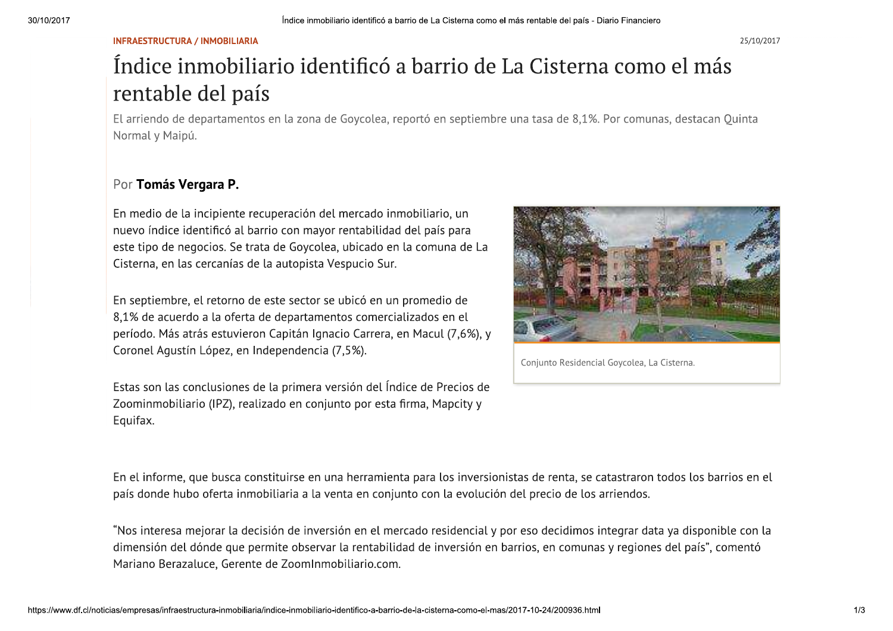# $\begin{array}{c}\n30/10/2017 \\
\hline\n\text{IN} \\
\text{IN} \\
\text{IN} \\
\text{IN} \\
\text{IN} \\
\end{array}$ 30/10/2017<br>
INFR<br>
In<br>
IP SO/10/2017 INFRAESTRUCTURA / INMOBILIARIA Indice inmobiliario identific Indice inmobiliario identificó a barrio de La Cisterna como el más rentable del país - Diario Financiero<br>Obiliario identificó a barrio de La Cisterna como el más<br>21 país <sup>del país - Diario Financiero</sup><br>terna como el más



Nos intere<br>dimensión<br>Mariano Be<br>https://www.df.cl/noticias/empresas/in Nos interes<br>dimensión<br>Mariano Ber<br>https://www.df.cl/noticias/empresas/infr Nos interesa r<br>dimensión del<br>Mariano Beraza<br>https://www.df.cl/noticias/empresas/infraest Nos interesa mej<br>dimensión del dói<br>Mariano Berazalu<br>https://www.df.cl/noticias/empresas/infraestruct Nos interesa mejorar la c<br>dimensión del dónde que<br>Mariano Berazaluce, Gere<br>ps://www.df.cl/noticias/empresas/infraestructura-inmobi Nos interesa mejorar la decisior<br>dimensión del dónde que permit<br>Mariano Berazaluce, Gerente de<br>f.cl/noticias/empresas/infraestructura-inmobiliaria/indic Nos interesa mejorar la decision de inversioi<br>dimensión del dónde que permite observar la<br>Mariano Berazaluce, Gerente de ZoomInmobi<br>s/empresas/infraestructura-inmobiliaria/indice-inmobiliario-ide a mejorar la decision de inversion el<br>el dónde que permite observar la re<br>azaluce, Gerente de ZoomInmobiliai<br>estructura-inmobiliaria/indice-inmobiliario-identific ejorar la decision de inversion en el mercado res<br>ónde que permite observar la rentabilidad de in<br>uce, Gerente de ZoomInmobiliario.com.<br>ctura-inmobiliaria/indice-inmobiliario-identifico-a-barrio-de-la-cister n de inversion en el mercado residencial y po<br>te observar la rentabilidad de inversión en ba<br>ZoomInmobiliario.com.<br>ce-inmobiliario-identifico-a-barrio-de-la-cisterna-como-el-mas/. n en el mercado residencial y por eso<br>a rentabilidad de inversión en barrios,<br>iliario.com.<br>.<br>. l mercado residencial y por eso decidimo:<br>abilidad de inversión en barrios, en comur<br>com.<br>-barrio-de-la-cistema-como-el-mas/2017-10-24/200936.ht o residencial y por eso decidimos integral<br>le inversión en barrios, en comunas y regi<br>cistema-como-el-mas/2017-10-24/200936.html cial y por eso decidimos integrar data ya disponible con la<br>ón en barrios, en comunas y regiones del país", comentó<br>mo-el-mas/2017-10-24/200936.html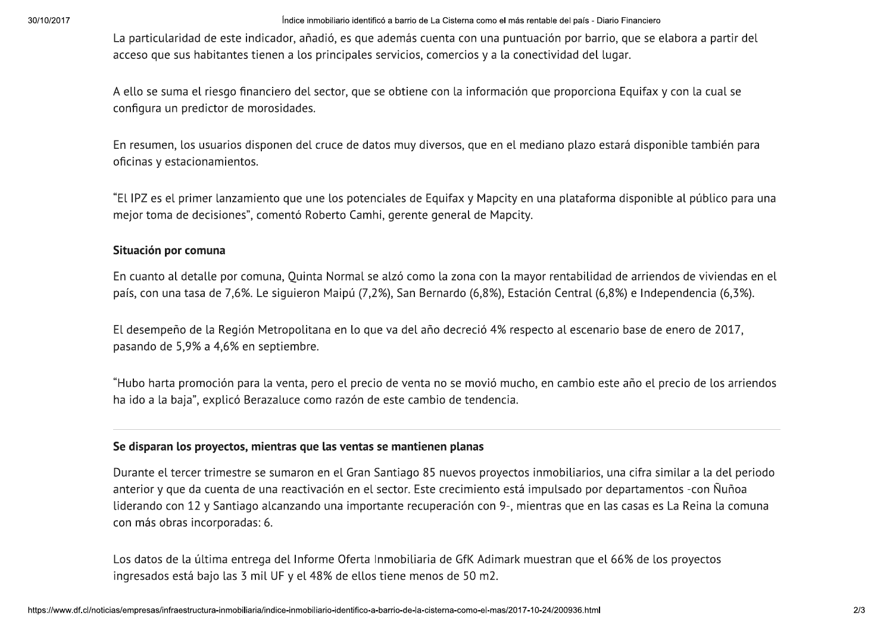30/10/2017<br>La p<br>acce<br>A el Solondright and the external of the inmobiliario identific<br>acceso que sus habitantes tienen a los principales s<br>A ello se suma el riesgo financiero del sector, que s Indice inmobiliario identificó a barrio de La Ciste<br>
este indicador, añadió, es que además cuenta (<br>
tantes tienen a los principales servicios, comero<br>
esgo financiero del sector, que se obtiene con la<br>
tor de merosidados ce inmobiliario identificó a barrio de La Cisterna como el más rentable<br>añadió, es que además cuenta con una puntuación<br>los principales servicios, comercios y a la conectivi<br>del sector, que se obtiene con la información qu barrio de La Cisterna como el más rentable del país - Diario Financiero<br>más cuenta con una puntuación por barrio, que se elabora a par<br>icios, comercios y a la conectividad del lugar.<br>btiene con la información que proporcio <sup>del país - Diario Financiero<br>por barrio, que se elabora a partir<br>dad del lugar.<br>roporciona Equifax y con la cual se</sup>

3arcasti<br>La particulatidat de sest relicacions de la mention conventionnemente in composition transmitter.<br>La particulation de ses relicacions de la mention de la mention de la mention de la mention de la mention de la<br>so

Los datos<br>
ingresados<br>
https://www.df.cl/noticias/empresas/in Los datos de ingresados<br>ingresados<br>https://www.df.cl/noticias/empresas/infr Los datos de la<br>ingresados esta<br>https://www.df.cl/noticias/empresas/infraest Los datos de la úl<br>ingresados está b.<br>https://www.df.cl/noticias/empresas/infraestruct Los datos de la última en<br>:<br>ingresados está bajo las<br>:<br>ps://www.df.cl/noticias/empresas/infraestructura-inmobi Los datos de la última entrega de ingresados está bajo las 3 mil UF<br>#f.cl/noticias/empresas/infraestructura-inmobiliaria/indic -<br>Los datos de la última entrega del Informe O<br>ngresados está bajo las 3 mil UF y el 48% de<br>s/empresas/infraestructura-inmobiliaria/indice-inmobiliario-ide la última entrega del Informe Oferi<br>stá bajo las 3 mil UF y el 48% de el<br>estructura-inmobiliaria/indice-inmobiliario-identific última entrega del Informe Oferta Inmobiliaria c<br>bajo las 3 mil UF y el 48% de ellos tiene menos<br>ctura-inmobiliaria/indice-inmobiliario-identifico-a-barrio-de-la-cister lel Informe Oferta Inmobiliaria de GfK Adima<br>F y el 48% de ellos tiene menos de 50 m2.<br>ce-inmobiliario-identifico-a-barrio-de-la-cisterna-como-el-mas/ pferta Inmobiliaria de GfK Adimark mue<br>e ellos tiene menos de 50 m2.<br>entifico-a-barrio-de-la-cisterna-como-el-mas/2017-10nmobiliaria de GfK Adimark muestran que<br>tiene menos de 50 m2.<br>barrio-de-la-cisterna-como-el-mas/2017-10-24/200936.ht ria de GfK Adimark muestran que el 66%<br>:nos de 50 m2.<br>.cisterna-como-el-mas/2017-10-24/200936.html < Adimark muestran que el 66% de los proyectos<br>0 m2.<br>no-el-mas/2017-10-24/200936.html